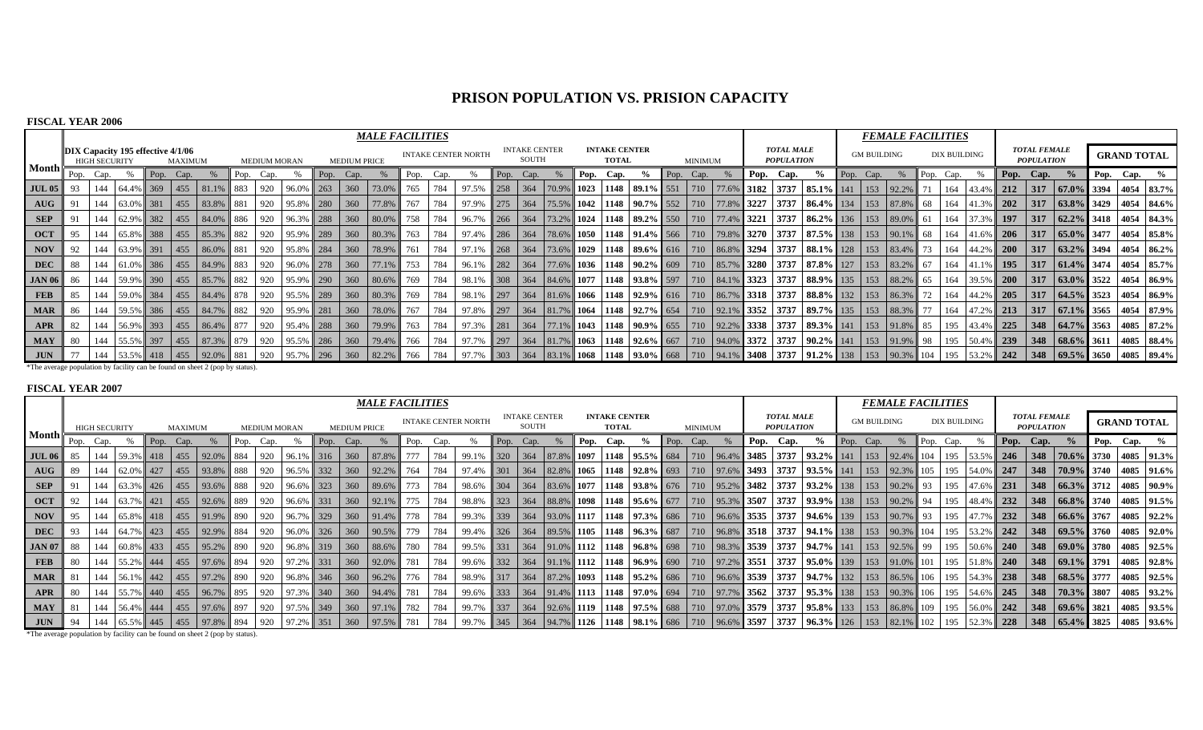# **PRISON POPULATION VS. PRISION CAPACITY**

#### **FISCAL YEAR 2006**

|               |     |                      |                                   |               |                |                                       |      |                     |               |                     | <i><b>MALE FACILITIES</b></i> |      |      |                                                                                    |                 |                                      |            |                                      |                                            |                |       |                                        |                                                                                                                                                                                   |           |                    | <b>FEMALE FACILITIES</b> |      |                     |              |                                          |  |                    |                                                              |
|---------------|-----|----------------------|-----------------------------------|---------------|----------------|---------------------------------------|------|---------------------|---------------|---------------------|-------------------------------|------|------|------------------------------------------------------------------------------------|-----------------|--------------------------------------|------------|--------------------------------------|--------------------------------------------|----------------|-------|----------------------------------------|-----------------------------------------------------------------------------------------------------------------------------------------------------------------------------------|-----------|--------------------|--------------------------|------|---------------------|--------------|------------------------------------------|--|--------------------|--------------------------------------------------------------|
|               |     | <b>HIGH SECURITY</b> | DIX Capacity 195 effective 4/1/06 |               | <b>MAXIMUM</b> |                                       |      | <b>MEDIUM MORAN</b> |               | <b>MEDIUM PRICE</b> |                               |      |      | <b>INTAKE CENTER NORTH</b>                                                         |                 | <b>INTAKE CENTER</b><br><b>SOUTH</b> |            | <b>INTAKE CENTER</b><br><b>TOTAL</b> |                                            | <b>MINIMUM</b> |       | <b>TOTAL MALE</b><br><b>POPULATION</b> |                                                                                                                                                                                   |           | <b>GM BUILDING</b> |                          |      | <b>DIX BUILDING</b> |              | <b>TOTAL FEMALE</b><br><b>POPULATION</b> |  | <b>GRAND TOTAL</b> |                                                              |
| Month T       |     | Pop. Cap.            |                                   | Pop. Cap.     |                |                                       | Pop. | Cap.                |               | Pop. Cap.           |                               | Pop. | Cap. |                                                                                    |                 | Pop. Cap.                            |            | Pop. Cap.                            | %                                          | Pop. Cap.      |       | Pop. Cap.                              | $\frac{6}{9}$                                                                                                                                                                     | Pop. Cap. |                    |                          | Pop. | Cap.                |              | Pop. Cap.                                |  | Pop. Cap. $\%$     |                                                              |
| <b>JUL 05</b> | 93  |                      | 144 64.4% 369                     |               | 455            | 81.1% 883                             |      | 920                 | 96.0% 263     | 360                 | 73.0%                         | 765  | 784  | 97.5%                                                                              | 258             | 364                                  | 70.9% 1023 |                                      | $1148$ 89.1% 551                           | 710            | 77.6% |                                        | 3182 3737 85.1% 141 153 92.2% 71                                                                                                                                                  |           |                    |                          |      | 164                 | 43.4% 212    |                                          |  |                    | $\vert$ 317 $\vert$ 67.0% 3394 4054 83.7%                    |
| <b>AUG</b>    |     | 144                  | 63.0% 381                         |               | $\vert$ 455    | 83.8% 881                             |      | 920                 | 95.8% 280     | 360                 | 77.8%                         | 767  | 784  | 97.9%                                                                              | 275             |                                      | 364 75.5%  |                                      |                                            |                |       |                                        | $\parallel$ 1042   1148   90.7%   552   710   77.8%   3227   3737   86.4%   134   153   87.8%   68                                                                                |           |                    |                          |      | 164                 | $41.3\%$ 202 |                                          |  |                    | $317   63.8\%   3429   4054   84.6\%$                        |
| <b>SEP</b>    | -91 |                      | 144 62.9% 382                     |               |                | $1455$ 84.0% 886                      |      | 920                 | 96.3% 288     | 360                 | 80.0%                         | 758  | 784  | 96.7%   266                                                                        |                 |                                      |            |                                      |                                            |                |       |                                        | 364   73.2%    1024   1148    89.2%    550    710    77.4%    3221    3737    86.2%    136    153    89.0%    61                                                                  |           |                    |                          |      |                     |              |                                          |  |                    | 164   37.3%    197    317    62.2%    3418    4054    84.3%  |
| <b>OCT</b>    | 95  |                      |                                   |               |                | 144   65.8%   388   455   85.3%   882 |      |                     | 920 95.9% 289 | 360                 | 80.3%                         | 763  | 784  | 97.4%                                                                              | 286             |                                      |            |                                      |                                            |                |       |                                        | $\mid$ 364 $\mid$ 78.6% $\mid$ 1050 $\mid$ 1148 $\mid$ 91.4% $\mid$ 566 $\mid$ 710 $\mid$ 79.8% $\mid$ 3270 $\mid$ 3737 $\mid$ 87.5% $\mid$ 138 $\mid$ 153 $\mid$ 90.1% $\mid$ 68 |           |                    |                          |      | 164                 |              |                                          |  |                    | $ 41.6\% $ 206 $ 317 $ 65.0% 3477 4054 85.8%                 |
| <b>NOV</b>    | 92  |                      |                                   |               |                | 144   63.9%   391   455   86.0%   881 |      |                     | 920 95.8% 284 | 360                 | 78.9% 761                     |      | 784  | 97.1% 268 364 73.6% 1029 1148 89.6% 616 710 86.8% 3294 3737 88.1% 128 153 83.4% 73 |                 |                                      |            |                                      |                                            |                |       |                                        |                                                                                                                                                                                   |           |                    |                          |      | 164                 |              |                                          |  |                    | $ 44.2\% $ 200   317   63.2%   3494   4054   86.2%           |
| <b>DEC</b>    | -88 |                      |                                   |               |                | 144 61.0% 386 455 84.9% 883           |      | 920                 | $96.0\%$ 278  | 360                 | 77.1%                         | 753  | 784  | 96.1%                                                                              | 282             | 364                                  |            |                                      | $\mid$ 77.6% 1036 1148 90.2% 609 710 85.7% |                |       |                                        | 3280 3737 87.8% 127 153 83.2% 67                                                                                                                                                  |           |                    |                          |      | 164                 | $41.1\%$ 195 | $\vert$ 317                              |  |                    | $\mid$ 61.4% 3474 4054 85.7%                                 |
| <b>JAN 06</b> |     | 144                  |                                   | 59.9% 390 455 |                | 85.7% 882                             |      | 920                 | 95.9% 290     | 360                 | 80.6%                         | 769  | 784  | 98.1%                                                                              | 308             |                                      |            |                                      |                                            |                |       |                                        | 364   84.6%   1077   1148   93.8%   597   710   84.1%   3323   3737   88.9%   135   153   88.2%   65                                                                              |           |                    |                          |      | 164                 |              |                                          |  |                    | $ 39.5\% $ 200 $ 317 $ 63.0% 3522 4054 86.9%                 |
| <b>FEB</b>    | 85  |                      | 144 59.0% 384                     |               |                | $ 455 84.4\% 878 $                    |      |                     | 920 95.5% 289 | 360                 | 80.3% 769                     |      | 784  | 98.1% 297                                                                          |                 |                                      |            |                                      |                                            |                |       |                                        | $\mid$ 364   81.6%   1066   1148   92.9%   616   710   86.7%   3318   3737   88.8%   132   153   86.3%   72                                                                       |           |                    |                          |      | 164                 |              |                                          |  |                    | $ 44.2\% $ 205 $ 317 $ 64.5% 3523 4054 86.9%                 |
| <b>MAR</b>    | 86  |                      |                                   |               |                | 144 59.5% 386 455 84.7% 882           |      |                     | 920 95.9% 281 | 360                 | 78.0%                         | 767  | 784  | 97.8% 297                                                                          |                 |                                      |            |                                      |                                            |                |       |                                        | $\mid$ 364 $\mid$ 81.7% $\mid$ 1064 $\mid$ 1148 $\mid$ 92.7% $\mid$ 654 $\mid$ 710 $\mid$ 92.1% $\mid$ 3352 $\mid$ 3737 $\mid$ 89.7% $\mid$ 135 $\mid$ 153 $\mid$ 88.3% $\mid$    |           |                    |                          | 77   | 164                 |              |                                          |  |                    | $\ 47.2\% \  213 \  317 \  67.1\% \  3565 \  4054 \  87.9\%$ |
| <b>APR</b>    | -82 |                      | 144 56.9% 393                     |               |                | $1455$ 86.4% 877                      |      | 920                 | 95.4% 288     | 360                 | 79.9%                         | 763  | 784  | 97.3%                                                                              | $\parallel$ 281 | 364                                  |            |                                      |                                            |                |       |                                        | $\mid$ 77.1% 1043 1148 90.9% 655 710 92.2% 3338 3737 89.3% 141 153 91.8% 85                                                                                                       |           |                    |                          |      | 195                 | 43.4% 225    |                                          |  |                    | 348   64.7%   3563   4085   87.2%                            |
| <b>MAY</b>    | -80 |                      | 144 55.5% 397                     |               | 455            | 87.3% 879                             |      | 920                 | 95.5% 286     | 360                 | 79.4%                         | 766  | 784  | 97.7%                                                                              | 297             |                                      | 364 81.7%  |                                      |                                            |                |       |                                        | $\mid$ 1063   1148   92.6%   667   710   94.0%   3372   3737   90.2%   141   153   91.9%                                                                                          |           |                    |                          | 98   | 195                 | $50.4\%$ 239 |                                          |  |                    | $348$   $68.6\%$   3611   4085   88.4%                       |
| <b>JUN</b>    |     | 144                  |                                   | 53.5% 418     |                | $1455$   92.0%   881                  |      | 920                 | 95.7% 296     | 360                 | 82.2%                         | 766  | 784  |                                                                                    | 303             | 364                                  |            |                                      | $\mid$ 83.1% 1068 1148 93.0% 668 710 94.1% |                |       |                                        | 3408 3737 91.2% 138 153 90.3% 104                                                                                                                                                 |           |                    |                          |      |                     | $53.2\%$ 242 |                                          |  |                    | $348$   69.5%   3650   4085   89.4%                          |

\*The average population by facility can be found on sheet 2 (pop by status).

#### **FISCAL YEAR 2007**

|                                    |     |                      |                   |           |         |                                                   |                     |                                             |           |                     | <b>MALE FACILITIES</b>                                                                                                                |      |      |                                                                                                                                                                                                                               |           |                               |  |              |                                                                                                                        |           |  |                                        |           |                    | <b>FEMALE FACILITIES</b>               |                     |                     |               |                                                 |                                        |                    |  |
|------------------------------------|-----|----------------------|-------------------|-----------|---------|---------------------------------------------------|---------------------|---------------------------------------------|-----------|---------------------|---------------------------------------------------------------------------------------------------------------------------------------|------|------|-------------------------------------------------------------------------------------------------------------------------------------------------------------------------------------------------------------------------------|-----------|-------------------------------|--|--------------|------------------------------------------------------------------------------------------------------------------------|-----------|--|----------------------------------------|-----------|--------------------|----------------------------------------|---------------------|---------------------|---------------|-------------------------------------------------|----------------------------------------|--------------------|--|
| Month -                            |     | <b>HIGH SECURITY</b> |                   |           | MAXIMUM |                                                   | <b>MEDIUM MORAN</b> |                                             |           | <b>MEDIUM PRICE</b> |                                                                                                                                       |      |      | <b>INTAKE CENTER NORTH</b>                                                                                                                                                                                                    |           | <b>INTAKE CENTER</b><br>SOUTH |  | <b>TOTAL</b> | <b>INTAKE CENTER</b>                                                                                                   | MINIMUM   |  | <b>TOTAL MALE</b><br><b>POPULATION</b> |           | <b>GM BUILDING</b> |                                        |                     | <b>DIX BUILDING</b> |               | <b>TOTAL FEMALE</b><br><i><b>POPULATION</b></i> |                                        | <b>GRAND TOTAL</b> |  |
|                                    |     | Pop. Cap.            |                   | Pop. Cap. |         |                                                   | Pop. Cap.           |                                             | Pop. Cap. |                     |                                                                                                                                       | Pop. | Cap. |                                                                                                                                                                                                                               | Pop. Cap. |                               |  | Pop. Cap.    | $\%$                                                                                                                   | Pop. Cap. |  | Pop. Cap.                              | Pop. Cap. |                    |                                        | $\blacksquare$ Pop. | Cap.                | Pop. Cap.     |                                                 | $\frac{6}{9}$                          | Pop. Cap. $\%$     |  |
| JUL 06 $85$                        |     |                      | 144 59.3% 418     |           | 455     |                                                   |                     | $\vert$ 92.0% 884 920 96.1% 316 360         |           |                     | 87.8% 777                                                                                                                             |      | 784  |                                                                                                                                                                                                                               |           |                               |  |              | 99.1% 320 364 87.8% 1097 1148 95.5% 684 710 96.4% 3485 3737 93.2% 141 153 92.4% 104 195 53.5% 246                      |           |  |                                        |           |                    |                                        |                     |                     |               |                                                 | 348 70.6% 3730 4085 91.3%              |                    |  |
| $\mathbf{A} \mathbf{U} \mathbf{G}$ | -89 |                      | 144 62.0% 427     |           | 455     |                                                   |                     |                                             |           |                     | $\parallel$ 93.8% $\parallel$ 888 $\parallel$ 920 $\parallel$ 96.5% $\parallel$ 332 $\parallel$ 360 $\parallel$ 92.2% $\parallel$ 764 |      | 784  |                                                                                                                                                                                                                               |           |                               |  |              | 97.4% 301 364 382.8% 1065 1148 32.8% 693 710 97.6% 3493 3737 93.5% 141 153 32.3% 105 195                               |           |  |                                        |           |                    |                                        |                     |                     | 54.0% 247     |                                                 | $348$   $70.9\%$   3740   4085   91.6% |                    |  |
| <b>SEP</b>                         |     |                      | $144$ 63.3% 426   |           |         |                                                   |                     | 455   93.6%   888   920   96.6%   323   360 |           |                     | 89.6% 773                                                                                                                             |      | 784  | $\mid$ 98.6% $\mid$ 304 $\mid$ 364 $\mid$ 83.6% $\mid$ 1077 $\mid$ 1148 $\mid$ 93.8% $\mid$ 676 $\mid$ 710 $\mid$ 95.2% $\mid$ 3482 $\mid$ 3737 $\mid$ 93.2% $\mid$ 138 $\mid$                                                |           |                               |  |              |                                                                                                                        |           |  |                                        |           |                    | $153$   90.2%   93   195   47.6%   231 |                     |                     |               |                                                 | 348 66.3% 3712 4085 90.9%              |                    |  |
| <b>OCT</b>                         |     |                      | $144$ 63.7% 421   |           |         |                                                   |                     |                                             |           |                     | 455   92.6%   889   920   96.6%   331   360   92.1%   775                                                                             |      | 784  |                                                                                                                                                                                                                               |           |                               |  |              | 98.8% 333 364 88.8% 1098 1148 95.6% 677 710 95.3% 3507 3737 93.9% 138                                                  |           |  |                                        |           |                    | $153$ 90.2% 94                         |                     | 195                 | 48.4% 232     |                                                 | 348 66.8% 3740 4085 91.5%              |                    |  |
| NOV                                |     |                      | 144 65.8% 418 455 |           |         |                                                   |                     |                                             |           |                     | $\parallel$ 91.9% 890 920 96.7% 329 360 91.4% 778                                                                                     |      | 784  | 99.3%    339    364    93.0%    1117    1148    97.3%    686    710    96.6%    3535    3737    94.6%    139                                                                                                                  |           |                               |  |              |                                                                                                                        |           |  |                                        |           |                    | 153 90.7% 93                           |                     | 195                 | $47.7\%$ 232  |                                                 | $348$   66.6%   3767   4085   92.2%    |                    |  |
| <b>DEC</b>                         |     | 144                  | 64.7% 423         |           | 455     |                                                   |                     | 92.9%   884   920   96.0%   326   360       |           |                     | 90.5% 779                                                                                                                             |      | 784  | 99.4% 326 364                                                                                                                                                                                                                 |           |                               |  |              | $\vert$ 89.5% 1105 1148   96.3%   687   710   96.8%   3518   3737   94.1%   138                                        |           |  |                                        |           |                    | 153 90.3% 104                          |                     | 195                 | 53.2% 242     |                                                 | 348   69.5%   3760   4085   92.0%      |                    |  |
| JAN 07                             |     |                      | 144 60.8% 433     |           |         |                                                   |                     |                                             |           |                     | 455   95.2%   890   920   96.8%   319   360   88.6%   780                                                                             |      | 784  | 99.5%                                                                                                                                                                                                                         |           |                               |  |              | $\parallel$ 331   364   91.0%   1112   1148   96.8%   698   710   98.3%   3539   3737   94.7%   141   153   92.5%   99 |           |  |                                        |           |                    |                                        |                     |                     | 50.6% 240     |                                                 | 348   69.0%   3780   4085   92.5%      |                    |  |
| <b>FEB</b>                         | -80 |                      | 144 55.2% 444     |           | 455     |                                                   |                     |                                             |           |                     | $\mid$ 97.6% $\mid$ 894 $\mid$ 920 $\mid$ 97.2% $\mid$ 331 $\mid$ 360 $\mid$ 92.0% $\mid$ 781                                         |      | 784  |                                                                                                                                                                                                                               |           |                               |  |              | 99.6% 332 364 91.1% 1112 1148 96.9% 690 710 97.2% 3551 3737 95.0% 139 153 91.0% 101                                    |           |  |                                        |           |                    |                                        |                     |                     | 195 51.8% 240 |                                                 | $348$   69.1%   3791   4085   92.8%    |                    |  |
| <b>MAR</b>                         |     |                      | $144$ 56.1% 442   |           | 455     |                                                   |                     |                                             |           |                     | $\parallel$ 97.2% $\parallel$ 890 $\parallel$ 920 $\parallel$ 96.8% $\parallel$ 346 $\parallel$ 360 $\parallel$ 96.2% $\parallel$ 776 |      | 784  |                                                                                                                                                                                                                               |           |                               |  |              | 98.9% 3737 364 87.2% 1093 1148 95.2% 686 710 96.6% 3539 3737 94.7% 132                                                 |           |  |                                        |           |                    | 153   86.5%   106   195   54.3%   238  |                     |                     |               |                                                 | 348 68.5% 3777 4085 92.5%              |                    |  |
| APR                                | 80  |                      | 144 55.7% 440     |           |         |                                                   |                     |                                             |           |                     | 455   96.7%   895   920   97.3%   340   360   94.4%   781                                                                             |      | 784  | 99.6%    333    364    91.4%    1113    1148    97.0%    694    710    97.7%    3562    3737    95.3%    138    153    90.3%    106    195    54.6%    245    90.3%    106    105    54.6%    245    90.3%    106    105    5 |           |                               |  |              |                                                                                                                        |           |  |                                        |           |                    |                                        |                     |                     |               |                                                 | 348   70.3%   3807   4085   93.2%      |                    |  |
| <b>MAY</b>                         |     | 144                  | 56.4% 444         |           | 455     |                                                   |                     |                                             |           |                     | $\parallel$ 97.6% 897 920 97.5% 349 360 97.1% 782                                                                                     |      | 784  | 99.7%    337    364    92.6%    1119    1148    97.5%    688    710    97.0%    3579    3737    95.8%    133                                                                                                                  |           |                               |  |              |                                                                                                                        |           |  |                                        |           |                    | 153 86.8% 109 195                      |                     |                     | 56.0% 242     |                                                 | $348$   $69.6\%$   3821   4085   93.5% |                    |  |
| <b>JUN</b>                         |     |                      | 65.5% 445         |           | 455     | $\parallel$ 97.8% $\parallel$ 894 $\parallel$ 920 |                     | $97.2\%$   351                              |           | 360                 | 97.5% 781                                                                                                                             |      |      |                                                                                                                                                                                                                               | 345       |                               |  |              | 364   94.7%   1126   1148   98.1%   686   710   96.6%   3597   3737   96.3%   126                                      |           |  |                                        |           |                    |                                        |                     |                     | 228           |                                                 | 348   65.4%   3825   4085   93.6%      |                    |  |
|                                    |     |                      |                   |           |         |                                                   |                     |                                             |           |                     |                                                                                                                                       |      |      |                                                                                                                                                                                                                               |           |                               |  |              |                                                                                                                        |           |  |                                        |           |                    |                                        |                     |                     |               |                                                 |                                        |                    |  |

\*The average population by facility can be found on sheet 2 (pop by status).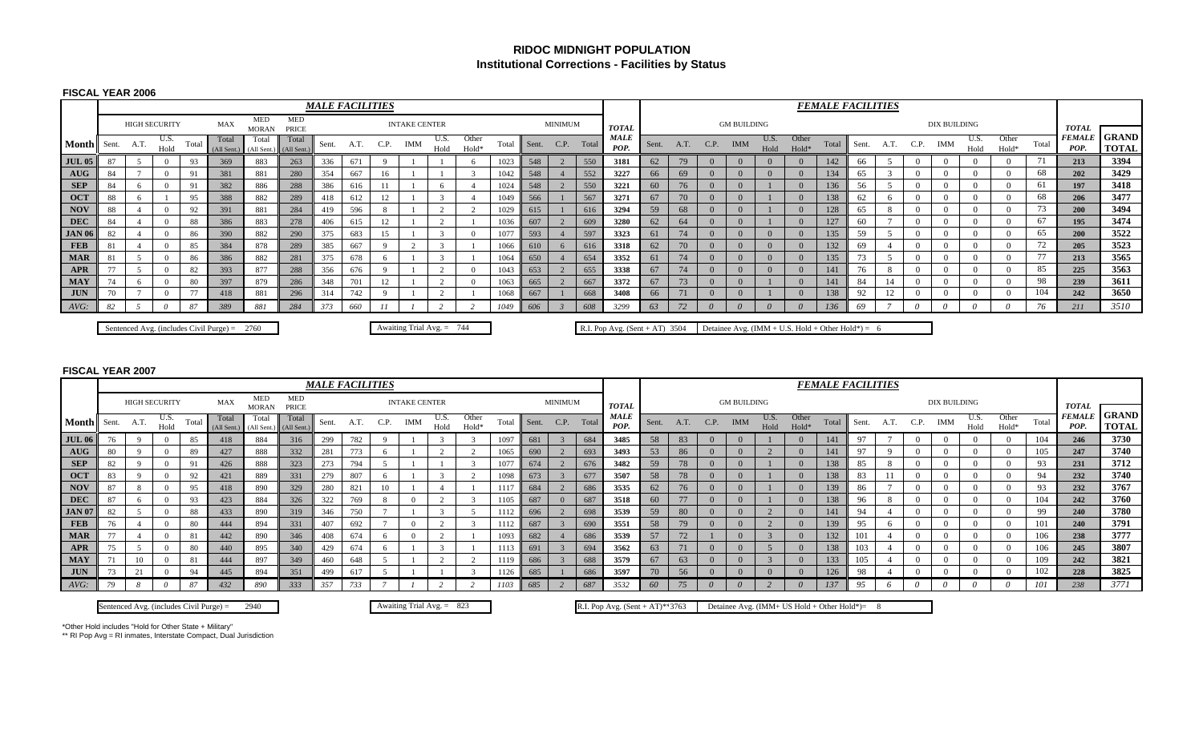# **RIDOC MIDNIGHT POPULATIONInstitutional Corrections - Facilities by Status**

#### **FISCAL YEAR 2006**

|               |                |                                                                                                           |              |       |       |                                              |              |       | <b>MALE FACILITIES</b> |      |                      |              |                            |       |       |                |       |                     |       |      |      |                    |              |                | <b>FEMALE FACILITIES</b> |        |                       |      |                     |      |                |       |                       |                              |
|---------------|----------------|-----------------------------------------------------------------------------------------------------------|--------------|-------|-------|----------------------------------------------|--------------|-------|------------------------|------|----------------------|--------------|----------------------------|-------|-------|----------------|-------|---------------------|-------|------|------|--------------------|--------------|----------------|--------------------------|--------|-----------------------|------|---------------------|------|----------------|-------|-----------------------|------------------------------|
|               |                | <b>HIGH SECURITY</b>                                                                                      |              |       | MAX   | MED<br><b>MORAN</b>                          | MED<br>PRICE |       |                        |      | <b>INTAKE CENTER</b> |              |                            |       |       | <b>MINIMUM</b> |       | <b>TOTAL</b>        |       |      |      | <b>GM BUILDING</b> |              |                |                          |        |                       |      | <b>DIX BUILDING</b> |      |                |       | <b>TOTAL</b>          |                              |
| <b>Month</b>  | Sent.          | A.T.                                                                                                      | U.S.<br>Hold | Total | Total | Total<br>(All Sent.) (All Sent.) (All Sent.) | Total        | Sent. | A.T.                   | C.P. | IMM                  | ש.⊿.<br>Hold | Other<br>Hold <sup>*</sup> | Total | Sent. | C.P.           | Total | <b>MALI</b><br>POP. | Sent. | A.T. | C.P. | <b>IMM</b>         | J.S.<br>Hold | Other<br>Hold* | Total                    | Sent.  | A.T.                  | C.P. | IMM                 | Hold | Other<br>Hold* | Total | <b>FEMALE</b><br>POP. | <b>GRAND</b><br><b>TOTAL</b> |
| <b>JUL 05</b> | O <sub>7</sub> |                                                                                                           |              | 93    | 369   | 883                                          | 263          | 336   |                        |      |                      |              |                            | 1023  | 548   |                | 550   | 3181                | 62    | 79   |      |                    |              |                | 142                      | 66     |                       |      |                     |      |                |       | 213                   | 3394                         |
| <b>AUG</b>    | 84             | 381<br>881<br>280<br>548<br>354<br>667<br>1042<br>91<br>16<br>382<br>886<br>288<br>386<br>548<br>11<br>91 |              |       |       |                                              |              |       |                        |      |                      |              |                            |       |       | 552            | 3227  | 66                  | 69    |      |      |                    |              | 134            | 65                       | $\sim$ |                       |      |                     |      | 68             | 202   | 3429                  |                              |
| <b>SEP</b>    |                |                                                                                                           |              |       |       |                                              |              |       |                        |      |                      |              |                            |       |       | 550            | 3221  | 60                  | 76    |      |      |                    |              | 136            | 56                       |        |                       |      |                     |      |                | 197   | 3418                  |                              |
| <b>OCT</b>    | 88             |                                                                                                           |              | 95    | 388   | 882                                          | 289          | 418   |                        | 12   |                      |              |                            | 1049  | 566   |                | 567   | 3271                | 67    | 70   |      |                    |              |                | 138                      | 62     | 6                     |      |                     |      |                | 68    | 206                   | 3477                         |
| <b>NOV</b>    | 88             |                                                                                                           |              | 92    | 391   | 881                                          | 284          | 419   | 596                    |      |                      |              |                            | 1029  | 615   |                | 616   | 3294                | 59    | 68   |      |                    |              |                | 128                      | 65     | 8                     |      |                     |      |                |       | 200                   | 3494                         |
| <b>DEC</b>    |                |                                                                                                           |              | 88    | 386   | 883                                          | 278          | 406   | 615                    | 12   |                      |              |                            |       | 607   |                | 609   | 3280                | 62    | 64   |      |                    |              |                | 127                      | 60     | $\overline{a}$        |      |                     |      |                |       | 195                   | 3474                         |
| <b>JAN 06</b> |                |                                                                                                           |              | 86    | 390   | 882                                          | 290          | 375   | 683                    | 15   |                      |              |                            | 1077  | 593   |                | 597   | 3323                | 61    | 74   |      |                    |              |                | 135                      | 59     |                       |      |                     |      |                | 65    | <b>200</b>            | 3522                         |
| <b>FEB</b>    |                |                                                                                                           |              | 85    | 384   | 878                                          | 289          | 385   | 667                    |      |                      |              |                            | 1066  | 610   |                | 616   | 3318                | 62    | 70   |      |                    |              |                | 132                      | 69     |                       |      |                     |      |                | 70    | 205                   | 3523                         |
| <b>MAR</b>    |                |                                                                                                           |              | 86    | 386   | 882                                          | 281          | 375   | 678                    |      |                      |              |                            | 1064  | 650   |                | 654   | 3352                | 61    | 74   |      |                    |              |                | 135                      | 73     | $\tilde{\phantom{a}}$ |      |                     |      |                | 77    | 213                   | 3565                         |
| <b>APR</b>    |                |                                                                                                           |              | 82    | 393   | 877                                          | 288          | 356   |                        |      |                      |              |                            | 1043  | 653   |                | 655   | 3338                | 67    | 74   |      |                    |              |                | 141                      | 76     | 8                     |      |                     |      |                | 85    | 225                   | 3563                         |
| <b>MAY</b>    |                |                                                                                                           |              | 80    | 397   | 879                                          | 286          | 348   | 701                    | 12   |                      |              |                            | 1063  | 665   |                | 667   | 3372                | 67    | 73   |      |                    |              |                | 141                      | 84     | 14                    |      |                     |      |                | 98    | 239                   | 3611                         |
| <b>JUN</b>    | 70             |                                                                                                           |              | 77    | 418   | 881                                          | 296          |       | 742                    |      |                      |              |                            | 1068  | 667   |                | 668   | 3408                | 66    | 71   |      |                    |              |                | 138                      | 92     | 12                    |      |                     |      |                |       | 242                   | 3650                         |
| AVG:          | 82             |                                                                                                           |              | 87    | 389   | 881                                          | 284          | 373   | 660                    |      |                      |              |                            | 1049  | 606   |                | 608   | 3299                | 63    | 72   |      |                    |              |                | 136                      | 69     |                       |      |                     |      |                |       | 211                   | 3510                         |
|               |                |                                                                                                           |              |       |       |                                              |              |       |                        |      |                      |              |                            |       |       |                |       |                     |       |      |      |                    |              |                |                          |        |                       |      |                     |      |                |       |                       |                              |

Sentenced Avg. (includes Civil Purge) = 2760

744 3504 Awaiting Trial Avg. = R.I. Pop Avg. (Sent + AT) Detainee Avg. (IMM + U.S. Hold + Other Hold\*) = 6

#### **FISCAL YEAR 2007**

|               |                |                      |              |                |                                              |                            |              |       | <b>MALE FACILITIES</b> |                      |              |                |       |       |                |       |                     |       |      |      |                    |              |                | <b>FEMALE FACILITIES</b> |       |      |                |              |              |                |       |                      |                              |
|---------------|----------------|----------------------|--------------|----------------|----------------------------------------------|----------------------------|--------------|-------|------------------------|----------------------|--------------|----------------|-------|-------|----------------|-------|---------------------|-------|------|------|--------------------|--------------|----------------|--------------------------|-------|------|----------------|--------------|--------------|----------------|-------|----------------------|------------------------------|
|               |                | <b>HIGH SECURITY</b> |              |                | MAX                                          | <b>MED</b><br><b>MORAN</b> | MED<br>PRICE |       |                        | <b>INTAKE CENTER</b> |              |                |       |       | <b>MINIMUM</b> |       | <b>TOTAL</b>        |       |      |      | <b>GM BUILDING</b> |              |                |                          |       |      |                | DIX BUILDING |              |                |       | <b>TOTAL</b>         |                              |
| <b>Month</b>  | Sent.          | A.T.                 | U.S.<br>Hold | Total          | Total<br>(All Sent.) (All Sent.) (All Sent.) | Total                      | Total        | Sent. | A.T.                   | <b>IMM</b>           | U.S.<br>Hold | Other<br>Hold* | Total | Sent. | C.P.           | Total | <b>MALE</b><br>POP. | Sent. | A.T. | C.P. | <b>IMM</b>         | U.S.<br>Hold | Other<br>Hold* | Total                    | Sent. | A.T. | C.P.           | <b>IMM</b>   | U.S.<br>Hold | Other<br>Hold* | Total | <b>FEMAL</b><br>POP. | <b>GRAND</b><br><b>TOTAL</b> |
| <b>JUL 06</b> |                |                      |              | 85             | 418                                          | 884                        | 316          | 299   | 782                    |                      |              |                | 1097  | 681   |                | 684   | 3485                | 58    | 83   |      |                    |              |                | 141                      | 97    |      |                |              |              |                | 104   | 246                  | 3730                         |
| <b>AUG</b>    | 80             |                      |              | 89             | 427                                          | 888                        | 332          | 281   | 773                    |                      |              |                | 1065  | 690   |                | 693   | 3493                | 53    | 86   |      |                    |              |                | 141                      | 97    |      | $\Omega$       |              |              |                | 105   | 247                  | 3740                         |
| <b>SEP</b>    | 82             |                      |              |                | 426                                          | 888                        | 323          | 273   | 794                    |                      |              |                | 1077  | 674   |                | 676   | 3482                | 59    | 78   |      |                    |              |                | 138                      | 85    |      | $\Omega$       |              |              |                | 93    | 231                  | 3712                         |
| <b>OCT</b>    | 83             |                      |              | 92             | 421                                          | 889                        | 331          | 279   | 807                    |                      |              |                | 1098  | 673   |                | 677   | 3507                | 58    | 78   |      |                    |              |                | 138                      | 83    | 11   | $\overline{0}$ |              |              |                | 94    | 232                  | 3740                         |
| <b>NOV</b>    | 87             |                      |              | 95             | 418                                          | 890                        | 329          | 280   | 821                    |                      |              |                | 1117  | 684   |                | 686   | 3535                | 62    | 76   |      |                    |              |                | 139                      | 86    |      | $\overline{0}$ |              |              |                | 93    | 232                  | 3767                         |
| <b>DEC</b>    | 87             |                      |              | 93             | 423                                          | 884                        | 326          | 322   | 769                    |                      |              |                | 1105  | 687   |                | 687   | 3518                | 60    | 77   |      |                    |              |                | 138                      | 96    |      | $\Omega$       |              |              |                | 104   | 242                  | 3760                         |
| <b>JAN 07</b> |                |                      |              | -88            | 433                                          | 890                        | 319          | 346   | 750                    |                      |              |                | 1112  | 696   |                | 698   | 3539                | 59    | 80   |      |                    |              |                | 141                      | 94    |      | $\Omega$       |              |              |                | 99    | 240                  | 3780                         |
| <b>FEB</b>    | 76             |                      |              | -80            | 444                                          | 894                        | 331          | 407   | 692                    |                      |              |                | 1112  | 687   |                | 690   | 3551                | 58    | 79   |      |                    |              |                | 139                      | 95    |      | $\Omega$       |              |              |                |       | 240                  | 3791                         |
| <b>MAR</b>    | 77             |                      |              | $\overline{R}$ | 442                                          | 890                        | 346          | 408   | 674                    |                      |              |                | 1093  | 682   |                | 686   | 3539                | 57    | 72   |      |                    |              |                | 132                      |       |      | $\Omega$       |              |              |                | .06   | 238                  | 3777                         |
| <b>APR</b>    | 75             |                      |              | 80             | 440                                          | 895                        | 340          | 429   | 674                    |                      |              |                |       | 691   |                | 694   | 3562                | 63    | 71   |      |                    |              |                | 138                      |       |      | $\Omega$       |              |              |                | 06    | 245                  | 3807                         |
| <b>MAY</b>    |                |                      |              |                | 444                                          | 897                        | 349          | 460   | 648                    |                      |              |                |       | 686   |                | 688   | 3579                | 67    | 63   |      |                    |              |                | 133                      | 105   |      | $\Omega$       |              |              |                |       | 242                  | 3821                         |
| <b>JUN</b>    | $\overline{a}$ | 21                   |              |                | 445                                          | 894                        | 351          | 499   |                        |                      |              |                | 1126  | 685   |                | 686   | 3597                | 70    | 56   |      |                    |              |                | 126                      | 98    |      | $\Omega$       |              |              |                | 102   | 228                  | 3825                         |
| $AVG$ :       | 79             |                      |              | 87             | 432                                          | 890                        | 333          | 357   | 733                    |                      |              |                |       | 685   |                | 687   | 3532                | -60   | 75   |      |                    |              |                | 137                      | 9     |      |                |              |              |                | 101   | 238                  | 3771                         |

Sentenced Avg. (includes Civil Purge) = 2940 <br>
Awaiting Trial Avg. = 823 R.I. Pop Avg. (Sent + AT)\*\*3763

Detainee Avg. (IMM+ US Hold + Other Hold\*)=  $8$ 

\*Other Hold includes "Hold for Other State + Military"

\*\* RI Pop Avg = RI inmates, Interstate Compact, Dual Jurisdiction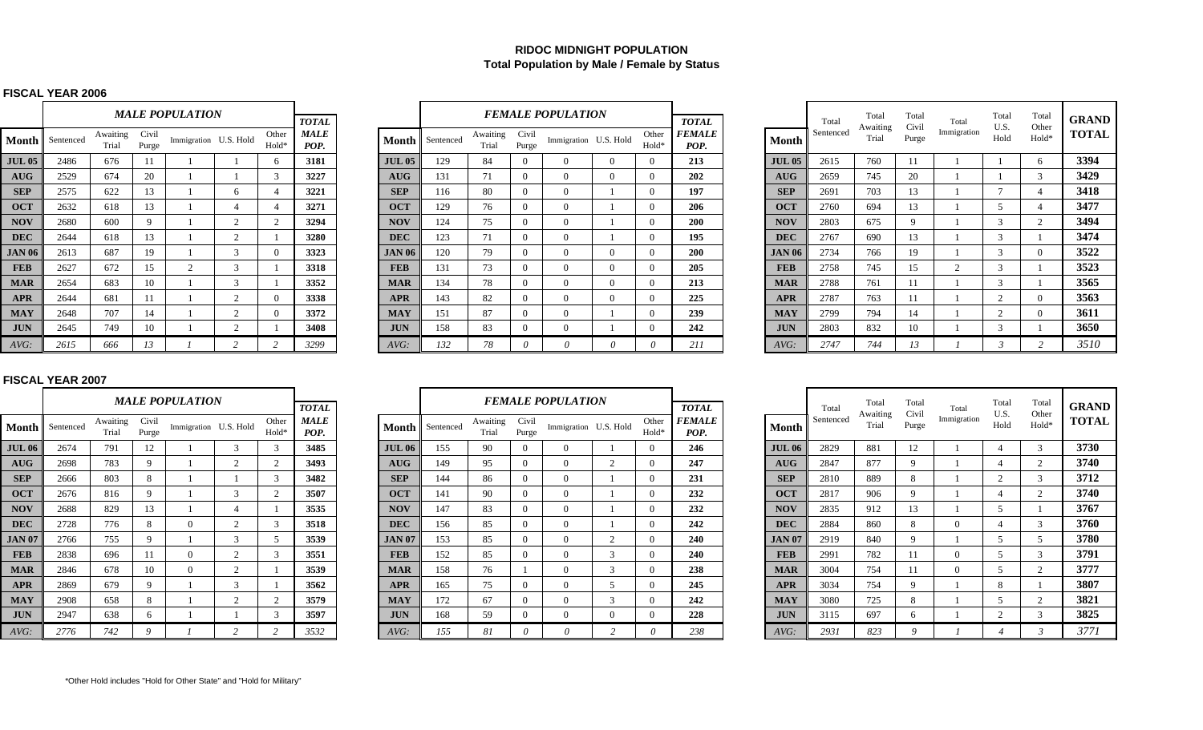# **RIDOC MIDNIGHT POPULATIONTotal Population by Male / Female by Status**

### **FISCAL YEAR 2006**

|               |           |                   |                | <i><b>MALE POPULATION</b></i> |                |                          |                     |
|---------------|-----------|-------------------|----------------|-------------------------------|----------------|--------------------------|---------------------|
|               |           |                   |                |                               |                |                          | <b>TOTAL</b>        |
| Month         | Sentenced | Awaiting<br>Trial | Civil<br>Purge | Immigration                   | U.S. Hold      | Other<br>Hold*           | <b>MALE</b><br>POP. |
| <b>JUL 05</b> | 2486      | 676               | 11             | 1                             | 1              | 6                        | 3181                |
| <b>AUG</b>    | 2529      | 674               | 20             | 1                             | 1              | 3                        | 3227                |
| <b>SEP</b>    | 2575      | 622               | 13             | 1                             | 6              | 4                        | 3221                |
| <b>OCT</b>    | 2632      | 618               | 13             | 1                             | 4              | 4                        | 3271                |
| <b>NOV</b>    | 2680      | 600               | 9              | 1                             | $\mathfrak{D}$ | $\overline{2}$           | 3294                |
| <b>DEC</b>    | 2644      | 618               | 13             | 1                             | $\mathfrak{D}$ | 1                        | 3280                |
| <b>JAN 06</b> | 2613      | 687               | 19             | 1                             | 3              | $\Omega$                 | 3323                |
| <b>FEB</b>    | 2627      | 672               | 15             | $\overline{c}$                | 3              | 1                        | 3318                |
| <b>MAR</b>    | 2654      | 683               | 10             | 1                             | 3              | 1                        | 3352                |
| <b>APR</b>    | 2644      | 681               | 11             | 1                             | $\overline{c}$ | $\Omega$                 | 3338                |
| <b>MAY</b>    | 2648      | 707               | 14             | 1                             | $\overline{c}$ | $\Omega$                 | 3372                |
| <b>JUN</b>    | 2645      | 749               | 10             | 1                             | $\overline{c}$ | 1                        | 3408                |
| AVG:          | 2615      | 666               | 13             | 1                             | $\overline{c}$ | $\overline{\mathcal{L}}$ | 3299                |

|               |           |                   |                | <b>MALE POPULATION</b> |                | <b>TOTAL</b>        |               |           |                   |                | <b>FEMALE POPULATION</b> |          |                | <b>TOTAL</b>                 |               | Total     | Total             | Total<br>Civil | Total       | Total<br>U.S. | Total<br>Other | <b>GRAN</b> |
|---------------|-----------|-------------------|----------------|------------------------|----------------|---------------------|---------------|-----------|-------------------|----------------|--------------------------|----------|----------------|------------------------------|---------------|-----------|-------------------|----------------|-------------|---------------|----------------|-------------|
| <b>Ionth</b>  | Sentenced | Awaiting<br>Trial | Civil<br>Purge | Immigration U.S. Hold  | Other<br>Hold* | <b>MALE</b><br>POP. | <b>Month</b>  | Sentenced | Awaiting<br>Trial | Civil<br>Purge | Immigration U.S. Hold    |          | Other<br>Hold* | <i><b>FEMALE</b></i><br>POP. | <b>Month</b>  | Sentenced | Awaiting<br>Trial | Purge          | Immigration | Hold          | Hold*          | TOT/        |
| <b>IUL 05</b> | 2486      | 676               |                |                        | 6              | 3181                | <b>JUL 05</b> | 129       | 84                |                |                          |          | $\Omega$       | 213                          | <b>JUL 05</b> | 2615      | 760               |                |             |               |                | 3394        |
| <b>AUG</b>    | 2529      | 674               | 20             |                        |                | 3227                | <b>AUG</b>    | 131       |                   | $\Omega$       |                          | $\Omega$ | $\Omega$       | 202                          | <b>AUG</b>    | 2659      | 745               | 20             |             |               |                | 3429        |
| <b>SEP</b>    | 2575      | 622               | 13             |                        |                | 3221                | <b>SEP</b>    | 116       | 80                | $\Omega$       |                          |          | $\Omega$       | 197                          | <b>SEP</b>    | 2691      | 703               | 13             |             |               |                | 3418        |
| <b>OCT</b>    | 2632      | 618               | 13             |                        |                | 3271                | <b>OCT</b>    | 129       | 76                | $\Omega$       |                          |          | $\Omega$       | 206                          | <b>OCT</b>    | 2760      | 694               | 13             |             |               |                | 3477        |
| <b>NOV</b>    | 2680      | 600               | $\Omega$       |                        | $\gamma$       | 3294                | <b>NOV</b>    | 124       | 75                | $\Omega$       |                          |          | $\Omega$       | <b>200</b>                   | <b>NOV</b>    | 2803      | 675               | $\Omega$       |             |               |                | 3494        |
| <b>DEC</b>    | 2644      | 618               | 13             |                        |                | 3280                | <b>DEC</b>    | 123       | 71                |                |                          |          | $\Omega$       | 195                          | <b>DEC</b>    | 2767      | 690               | 13             |             |               |                | 3474        |
| AN 06         | 2613      | 687               | 19             |                        | $\Omega$       | 3323                | <b>JAN 06</b> | 120       | 79                | $\Omega$       |                          | $\Omega$ | $\Omega$       | 200                          | <b>JAN 06</b> | 2734      | 766               | 19             |             |               | $\Omega$       | 3522        |
| <b>FEB</b>    | 2627      | 672               | 15             |                        |                | 3318                | <b>FEB</b>    | 131       | 73                |                |                          | $\Omega$ | $\Omega$       | 205                          | <b>FEB</b>    | 2758      | 745               | 15             |             |               |                | 3523        |
| <b>MAR</b>    | 2654      | 683               |                |                        |                | 3352                | <b>MAR</b>    | 134       | 78                | $\Omega$       |                          | $\Omega$ | $\Omega$       | 213                          | <b>MAR</b>    | 2788      | 761               | 11             |             |               |                | 3565        |
| <b>APR</b>    | 2644      | 681               |                |                        | $\Omega$       | 3338                | <b>APR</b>    | 143       | 82                | $\Omega$       |                          | $\Omega$ | $\Omega$       | 225                          | <b>APR</b>    | 2787      | 763               | 11             |             |               | $\Omega$       | 3563        |
| <b>MAY</b>    | 2648      | 707               | 14             |                        | $\Omega$       | 3372                | <b>MAY</b>    | 151       | 87                | $\Omega$       |                          |          | $\Omega$       | 239                          | <b>MAY</b>    | 2799      | 794               | 14             |             | $\sim$        | $\Omega$       | 3611        |
| <b>JUN</b>    | 2645      | 749               | 10             |                        |                | 3408                | <b>JUN</b>    | 158       | 83                | $\theta$       |                          |          | $\Omega$       | 242                          | <b>JUN</b>    | 2803      | 832               |                |             |               |                | 3650        |
| AVG:          | 2615      | 666               |                |                        |                | 3299                | $AVG$ :       | 132       | 78                |                |                          |          |                | 211                          | $AVG$ :       | 2747      | 744               | 13             |             |               |                | 3510        |

|                   |                | <b>FEMALE POPULATION</b> |              |                | <b>TOTAL</b>          |               | Total     | Total<br>Awaiting | Total<br>Civil | Total       | Total<br>U.S.  | Total<br>Other | <b>GRAND</b> |
|-------------------|----------------|--------------------------|--------------|----------------|-----------------------|---------------|-----------|-------------------|----------------|-------------|----------------|----------------|--------------|
| Awaiting<br>Trial | Civil<br>Purge | Immigration U.S. Hold    |              | Other<br>Hold* | <b>FEMALE</b><br>POP. | <b>Month</b>  | Sentenced | Trial             | Purge          | Immigration | Hold           | Hold*          | <b>TOTAL</b> |
| 84                | $\Omega$       | $\Omega$                 | $\Omega$     | $\Omega$       | 213                   | <b>JUL 05</b> | 2615      | 760               | 11             |             |                | 6              | 3394         |
| 71                | $\Omega$       | $\Omega$                 | $\Omega$     | $\Omega$       | 202                   | AUG           | 2659      | 745               | 20             |             |                | 3              | 3429         |
| 80                | $\Omega$       | $\Omega$                 |              | $\Omega$       | 197                   | <b>SEP</b>    | 2691      | 703               | 13             |             | 7              | 4              | 3418         |
| 76                | $\mathbf{0}$   | $\mathbf{0}$             |              | $\overline{0}$ | 206                   | <b>OCT</b>    | 2760      | 694               | 13             |             | 5              | $\overline{4}$ | 3477         |
| 75                | $\Omega$       | $\Omega$                 |              | $\overline{0}$ | 200                   | <b>NOV</b>    | 2803      | 675               | 9              |             | 3              | 2              | 3494         |
| 71                | $\Omega$       | $\Omega$                 |              | $\Omega$       | 195                   | <b>DEC</b>    | 2767      | 690               | 13             |             | 3              |                | 3474         |
| 79                | $\Omega$       | $\Omega$                 | 0            | $\Omega$       | 200                   | <b>JAN 06</b> | 2734      | 766               | 19             |             | 3              | $\Omega$       | 3522         |
| 73                | $\Omega$       | $\Omega$                 | $\mathbf{0}$ | $\Omega$       | 205                   | <b>FEB</b>    | 2758      | 745               | 15             | 2           | 3              |                | 3523         |
| 78                | $\Omega$       | $\Omega$                 | $\Omega$     | $\Omega$       | 213                   | <b>MAR</b>    | 2788      | 761               | 11             |             | 3              |                | 3565         |
| 82                | $\Omega$       | $\Omega$                 | $\Omega$     | $\Omega$       | 225                   | <b>APR</b>    | 2787      | 763               | 11             |             | $\overline{2}$ | $\Omega$       | 3563         |
| 87                | $\Omega$       | $\Omega$                 |              | $\Omega$       | 239                   | <b>MAY</b>    | 2799      | 794               | 14             |             | 2              | $\Omega$       | 3611         |
| 83                | $\Omega$       | $\Omega$                 |              | $\mathbf{0}$   | 242                   | <b>JUN</b>    | 2803      | 832               | 10             |             | 3              |                | 3650         |
| 78                | 0              | $\theta$                 | 0            | 0              | 211                   | $AVG$ :       | 2747      | 744               | 13             |             | 3              | $\overline{c}$ | 3510         |

### **FISCAL YEAR 2007**

|               |           |                   |                | <i><b>MALE POPULATION</b></i> |                |                | <b>TOTAL</b>        |               |           |                   | <b>FEMALE P</b> |
|---------------|-----------|-------------------|----------------|-------------------------------|----------------|----------------|---------------------|---------------|-----------|-------------------|-----------------|
| <b>Month</b>  | Sentenced | Awaiting<br>Trial | Civil<br>Purge | Immigration                   | U.S. Hold      | Other<br>Hold* | <b>MALE</b><br>POP. | <b>Month</b>  | Sentenced | Awaiting<br>Trial | Civil<br>Purge  |
| <b>JUL 06</b> | 2674      | 791               | 12             |                               | $\mathbf{3}$   | 3              | 3485                | <b>JUL 06</b> | 155       | 90                | $\Omega$        |
| AUG           | 2698      | 783               | 9              |                               | 2              | 2              | 3493                | AUG           | 149       | 95                | $\Omega$        |
| <b>SEP</b>    | 2666      | 803               | 8              |                               |                | 3              | 3482                | <b>SEP</b>    | 144       | 86                | $\Omega$        |
| <b>OCT</b>    | 2676      | 816               | 9              |                               | 3              | 2              | 3507                | <b>OCT</b>    | 141       | 90                | $\Omega$        |
| <b>NOV</b>    | 2688      | 829               | 13             |                               | 4              | 1              | 3535                | <b>NOV</b>    | 147       | 83                | $\Omega$        |
| <b>DEC</b>    | 2728      | 776               | 8              | $\Omega$                      | 2              | 3              | 3518                | <b>DEC</b>    | 156       | 85                | $\Omega$        |
| <b>JAN 07</b> | 2766      | 755               | 9              |                               | 3              | 5              | 3539                | <b>JAN 07</b> | 153       | 85                | $\Omega$        |
| <b>FEB</b>    | 2838      | 696               | 11             | $\Omega$                      | $\overline{2}$ | 3              | 3551                | <b>FEB</b>    | 152       | 85                | $\Omega$        |
| <b>MAR</b>    | 2846      | 678               | 10             | $\Omega$                      | $\overline{c}$ | 1              | 3539                | <b>MAR</b>    | 158       | 76                |                 |
| <b>APR</b>    | 2869      | 679               | 9              |                               | 3              | 1              | 3562                | <b>APR</b>    | 165       | 75                | $\Omega$        |
| <b>MAY</b>    | 2908      | 658               | 8              |                               | $\overline{c}$ | 2              | 3579                | <b>MAY</b>    | 172       | 67                | $\Omega$        |
| <b>JUN</b>    | 2947      | 638               | 6              |                               |                | 3              | 3597                | <b>JUN</b>    | 168       | 59                | $\Omega$        |
| AVG:          | 2776      | 742               | 9              |                               | $\overline{c}$ | $\overline{c}$ | 3532                | AVG:          | 155       | 81                | $\theta$        |

|                                    |           |                   |                | <b>MALE POPULATION</b> |                | <b>TOTAL</b>        |               |           |                   |                | <b>FEMALE POPULATION</b> |          |                | <b>TOTAL</b>                 |               | Total     | Total             | Total<br>Civil | Total       | Total<br>U.S. | Total<br>Other | <b>GRAN</b>      |
|------------------------------------|-----------|-------------------|----------------|------------------------|----------------|---------------------|---------------|-----------|-------------------|----------------|--------------------------|----------|----------------|------------------------------|---------------|-----------|-------------------|----------------|-------------|---------------|----------------|------------------|
| Month                              | Sentenced | Awaiting<br>Trial | Civil<br>Purge | Immigration U.S. Hold  | Other<br>Hold* | <b>MALE</b><br>POP. | Month         | Sentenced | Awaiting<br>Trial | Civil<br>Purge | Immigration U.S. Hold    |          | Other<br>Hold* | <i><b>FEMALE</b></i><br>POP. | <b>Month</b>  | Sentenced | Awaiting<br>Trial | Purge          | Immigration | Hold          | Hold*          | TOT/             |
| UL 06                              | 2674      | 791               | 12             |                        | $\mathbf{z}$   | 3485                | <b>JUL 06</b> | 155       | $\Omega$          | $\Omega$       |                          |          | $\Omega$       | 246                          | <b>JUL 06</b> | 2829      | 881               |                |             |               |                | 3730             |
| $\mathbf{A} \mathbf{U} \mathbf{G}$ | 2698      | 783               | $\Omega$       |                        | $\gamma$       | 3493                | <b>AUG</b>    | 149       | 95                | $\Omega$       |                          | $\sim$   | $\Omega$       | 247                          | AUG           | 2847      | 877               | $\Omega$       |             |               |                | 3740             |
| <b>SEP</b>                         | 2666      | 803               | -8             |                        |                | 3482                | <b>SEP</b>    | 144       | 86                | $\Omega$       |                          |          | $\Omega$       | 231                          | <b>SEP</b>    | 2810      | 889               |                |             |               |                | 3712             |
| <b>OCT</b>                         | 2676      | 816               | $\Omega$       |                        |                | 3507                | <b>OCT</b>    | 141       | 90                | $\Omega$       |                          |          |                | 232                          | <b>OCT</b>    | 2817      | 906               | $\Omega$       |             |               |                | 3740             |
| <b>NOV</b>                         | 2688      | 829               | 13             |                        |                | 3535                | <b>NOV</b>    | 147       | 83                | $\Omega$       |                          |          | $\Omega$       | 232                          | <b>NOV</b>    | 2835      | 912               |                |             |               |                | 3767             |
| <b>DEC</b>                         | 2728      | 776               | -8             |                        | $\mathbf{z}$   | 3518                | <b>DEC</b>    | 156       | 85                | $\Omega$       |                          |          | $\Omega$       | 242                          | <b>DEC</b>    | 2884      | 860               |                | $\Omega$    |               | $\sqrt{2}$     | 3760             |
| AN <sub>07</sub>                   | 2766      | 755               |                |                        |                | 3539                | <b>JAN 07</b> | 153       | 85                | $\Omega$       |                          |          |                | 240                          | <b>JAN 07</b> | 2919      | 840               |                |             |               |                | 3780             |
| <b>FEB</b>                         | 2838      | 696               |                | $\theta$               | $\sim$         | 3551                | <b>FEB</b>    | 152       | 85                | $\Omega$       |                          |          | $\Omega$       | 240                          | <b>FEB</b>    | 2991      | 782               | 11             | $\Omega$    |               |                | 3791             |
| <b>MAR</b>                         | 2846      | 678               | 10             |                        |                | 3539                | <b>MAR</b>    | 158       | 76                |                |                          |          |                | 238                          | <b>MAR</b>    | 3004      | 754               |                | $\Omega$    |               |                | 3777             |
| <b>APR</b>                         | 2869      | 679               | $\Omega$       |                        |                | 3562                | <b>APR</b>    | 165       |                   |                |                          |          |                | 245                          | <b>APR</b>    | 3034      | 754               |                |             |               |                | 3807             |
| <b>MAY</b>                         | 2908      | 658               | 8              |                        | $\gamma$       | 3579                | <b>MAY</b>    | 172       | 67                | $\Omega$       |                          |          | $\Omega$       | 242                          | <b>MAY</b>    | 3080      | 725               | 8              |             |               |                | 3821             |
| <b>JUN</b>                         | 2947      | 638               | <b>6</b>       |                        | $\sim$         | 3597                | <b>JUN</b>    | 168       | 59                | $\Omega$       |                          | $\Omega$ |                | 228                          | <b>JUN</b>    | 3115      | 697               | h              |             | $\sim$        |                | 3825             |
| $AVG$ :                            | 2776      | 742               |                |                        |                | 3532                | $AVG$ :       | 155       |                   |                |                          |          |                | 238                          | $AVG$ :       | 2931      | 823               |                |             |               |                | 377 <sub>i</sub> |

|                   |                | <b>FEMALE POPULATION</b> |                |                | <b>TOTAL</b>          |               | Total     | Total<br>Awaiting | Total<br>Civil | Total        | Total<br>U.S.  | Total<br>Other | <b>GRAND</b> |
|-------------------|----------------|--------------------------|----------------|----------------|-----------------------|---------------|-----------|-------------------|----------------|--------------|----------------|----------------|--------------|
| Awaiting<br>Trial | Civil<br>Purge | Immigration U.S. Hold    |                | Other<br>Hold* | <b>FEMALE</b><br>POP. | <b>Month</b>  | Sentenced | Trial             | Purge          | Immigration  | Hold           | Hold*          | <b>TOTAL</b> |
| 90                | $\mathbf{0}$   | $\Omega$                 |                | $\mathbf{0}$   | 246                   | <b>JUL 06</b> | 2829      | 881               | 12             |              | 4              | 3              | 3730         |
| 95                | $\mathbf{0}$   | $\mathbf{0}$             | $\overline{2}$ | $\mathbf{0}$   | 247                   | AUG           | 2847      | 877               | 9              |              | 4              | 2              | 3740         |
| 86                | $\Omega$       | $\Omega$                 |                | $\Omega$       | 231                   | <b>SEP</b>    | 2810      | 889               | 8              |              | $\overline{2}$ | 3              | 3712         |
| 90                | $\Omega$       | $\Omega$                 |                | $\Omega$       | 232                   | <b>OCT</b>    | 2817      | 906               | 9              |              | 4              | 2              | 3740         |
| 83                | $\mathbf{0}$   | $\mathbf{0}$             |                | $\overline{0}$ | 232                   | <b>NOV</b>    | 2835      | 912               | 13             |              | 5              |                | 3767         |
| 85                | $\Omega$       | $\Omega$                 |                | $\overline{0}$ | 242                   | <b>DEC</b>    | 2884      | 860               | 8              | $\Omega$     | 4              | 3              | 3760         |
| 85                | $\Omega$       | $\Omega$                 | $\overline{2}$ | $\Omega$       | 240                   | <b>JAN 07</b> | 2919      | 840               | 9              |              | 5              | 5              | 3780         |
| 85                | $\Omega$       | $\Omega$                 | 3              | $\mathbf{0}$   | 240                   | <b>FEB</b>    | 2991      | 782               | 11             | $\Omega$     | 5              | 3              | 3791         |
| 76                |                | $\Omega$                 | 3              | $\overline{0}$ | 238                   | <b>MAR</b>    | 3004      | 754               | 11             | $\mathbf{0}$ | 5              | 2              | 3777         |
| 75                | $\Omega$       | $\Omega$                 | 5              | $\Omega$       | 245                   | <b>APR</b>    | 3034      | 754               | 9              |              | 8              |                | 3807         |
| 67                | $\Omega$       | $\Omega$                 | 3              | $\Omega$       | 242                   | <b>MAY</b>    | 3080      | 725               | 8              |              | 5              | $\overline{2}$ | 3821         |
| 59                | $\overline{0}$ | $\mathbf{0}$             | $\mathbf{0}$   | $\overline{0}$ | 228                   | <b>JUN</b>    | 3115      | 697               | 6              |              | 2              | 3              | 3825         |
| 81                | 0              | $\theta$                 | $\overline{c}$ | 0              | 238                   | $AVG$ :       | 2931      | 823               | 9              |              | $\overline{4}$ | 3              | 3771         |